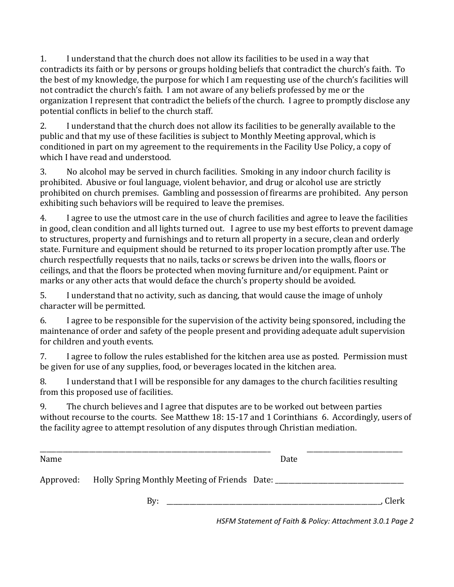1. I understand that the church does not allow its facilities to be used in a way that contradicts its faith or by persons or groups holding beliefs that contradict the church's faith. To the best of my knowledge, the purpose for which I am requesting use of the church's facilities will not contradict the church's faith. I am not aware of any beliefs professed by me or the organization I represent that contradict the beliefs of the church. I agree to promptly disclose any potential conflicts in belief to the church staff.

2. I understand that the church does not allow its facilities to be generally available to the public and that my use of these facilities is subject to Monthly Meeting approval, which is conditioned in part on my agreement to the requirements in the Facility Use Policy, a copy of which I have read and understood.

3. No alcohol may be served in church facilities. Smoking in any indoor church facility is prohibited. Abusive or foul language, violent behavior, and drug or alcohol use are strictly prohibited on church premises. Gambling and possession of firearms are prohibited. Any person exhibiting such behaviors will be required to leave the premises.

4. I agree to use the utmost care in the use of church facilities and agree to leave the facilities in good, clean condition and all lights turned out. I agree to use my best efforts to prevent damage to structures, property and furnishings and to return all property in a secure, clean and orderly state. Furniture and equipment should be returned to its proper location promptly after use. The church respectfully requests that no nails, tacks or screws be driven into the walls, floors or ceilings, and that the floors be protected when moving furniture and/or equipment. Paint or marks or any other acts that would deface the church's property should be avoided.

5. I understand that no activity, such as dancing, that would cause the image of unholy character will be permitted.

6. I agree to be responsible for the supervision of the activity being sponsored, including the maintenance of order and safety of the people present and providing adequate adult supervision for children and youth events.

7. I agree to follow the rules established for the kitchen area use as posted. Permission must be given for use of any supplies, food, or beverages located in the kitchen area.

8. I understand that I will be responsible for any damages to the church facilities resulting from this proposed use of facilities.

9. The church believes and I agree that disputes are to be worked out between parties without recourse to the courts. See Matthew 18: 15-17 and 1 Corinthians 6. Accordingly, users of the facility agree to attempt resolution of any disputes through Christian mediation.

| Name      |                                                           | Date |       |
|-----------|-----------------------------------------------------------|------|-------|
| Approved: | Holly Spring Monthly Meeting of Friends Date: ___________ |      |       |
|           | $\rm\,By:$                                                |      | Clerk |

*HSFM Statement of Faith & Policy: Attachment 3.0.1 Page 2*